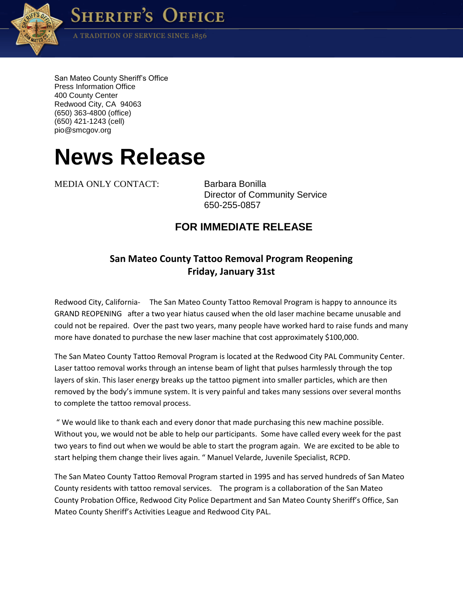

**SHERIFF'S OFFICE** 

A TRADITION OF SERVICE SINCE 1856

San Mateo County Sheriff's Office Press Information Office 400 County Center Redwood City, CA 94063 (650) 363-4800 (office) (650) 421-1243 (cell) pio@smcgov.org

## **News Release**

MEDIA ONLY CONTACT: Barbara Bonilla

Director of Community Service 650-255-0857

## **FOR IMMEDIATE RELEASE**

## **San Mateo County Tattoo Removal Program Reopening Friday, January 31st**

Redwood City, California- The San Mateo County Tattoo Removal Program is happy to announce its GRAND REOPENING after a two year hiatus caused when the old laser machine became unusable and could not be repaired. Over the past two years, many people have worked hard to raise funds and many more have donated to purchase the new laser machine that cost approximately \$100,000.

The San Mateo County Tattoo Removal Program is located at the Redwood City PAL Community Center. Laser tattoo removal works through an intense beam of light that pulses harmlessly through the top layers of skin. This laser energy breaks up the tattoo pigment into smaller particles, which are then removed by the body's immune system. It is very painful and takes many sessions over several months to complete the tattoo removal process.

" We would like to thank each and every donor that made purchasing this new machine possible. Without you, we would not be able to help our participants. Some have called every week for the past two years to find out when we would be able to start the program again. We are excited to be able to start helping them change their lives again. " Manuel Velarde, Juvenile Specialist, RCPD.

The San Mateo County Tattoo Removal Program started in 1995 and has served hundreds of San Mateo County residents with tattoo removal services. The program is a collaboration of the San Mateo County Probation Office, Redwood City Police Department and San Mateo County Sheriff's Office, San Mateo County Sheriff's Activities League and Redwood City PAL.